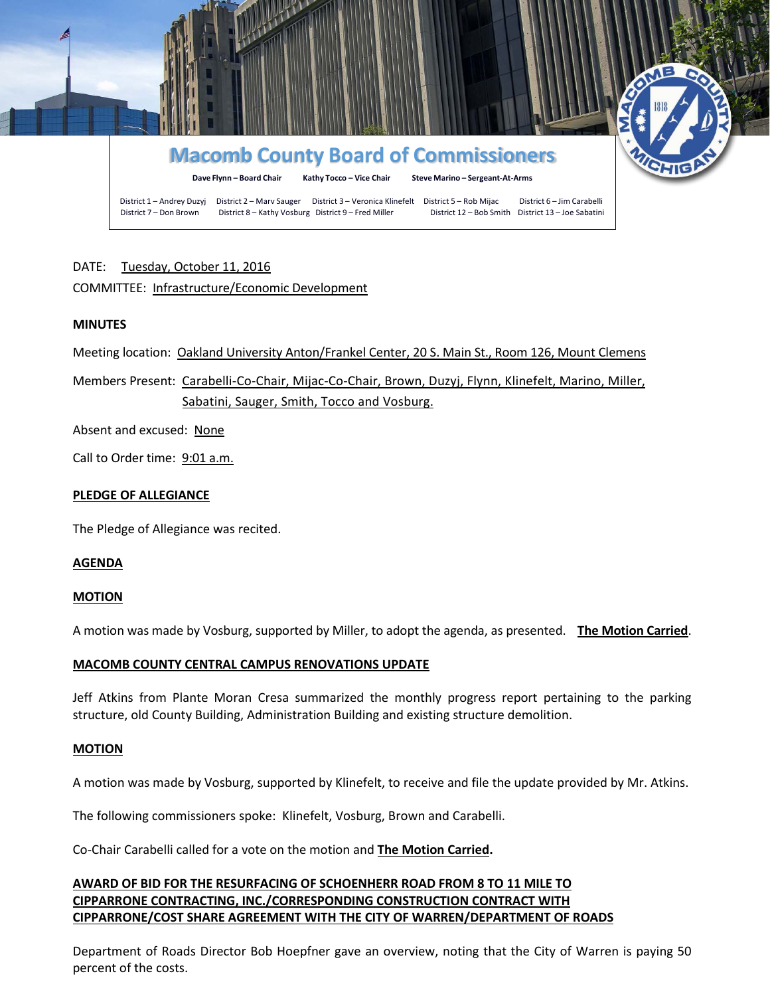

# DATE: Tuesday, October 11, 2016

# COMMITTEE: Infrastructure/Economic Development

## **MINUTES**

Meeting location: Oakland University Anton/Frankel Center, 20 S. Main St., Room 126, Mount Clemens

Members Present: Carabelli-Co-Chair, Mijac-Co-Chair, Brown, Duzyj, Flynn, Klinefelt, Marino, Miller, Sabatini, Sauger, Smith, Tocco and Vosburg.

Absent and excused: None

Call to Order time: 9:01 a.m.

## **PLEDGE OF ALLEGIANCE**

The Pledge of Allegiance was recited.

### **AGENDA**

### **MOTION**

A motion was made by Vosburg, supported by Miller, to adopt the agenda, as presented. **The Motion Carried**.

### **MACOMB COUNTY CENTRAL CAMPUS RENOVATIONS UPDATE**

Jeff Atkins from Plante Moran Cresa summarized the monthly progress report pertaining to the parking structure, old County Building, Administration Building and existing structure demolition.

### **MOTION**

A motion was made by Vosburg, supported by Klinefelt, to receive and file the update provided by Mr. Atkins.

The following commissioners spoke: Klinefelt, Vosburg, Brown and Carabelli.

Co-Chair Carabelli called for a vote on the motion and **The Motion Carried.**

# **AWARD OF BID FOR THE RESURFACING OF SCHOENHERR ROAD FROM 8 TO 11 MILE TO CIPPARRONE CONTRACTING, INC./CORRESPONDING CONSTRUCTION CONTRACT WITH CIPPARRONE/COST SHARE AGREEMENT WITH THE CITY OF WARREN/DEPARTMENT OF ROADS**

Department of Roads Director Bob Hoepfner gave an overview, noting that the City of Warren is paying 50 percent of the costs.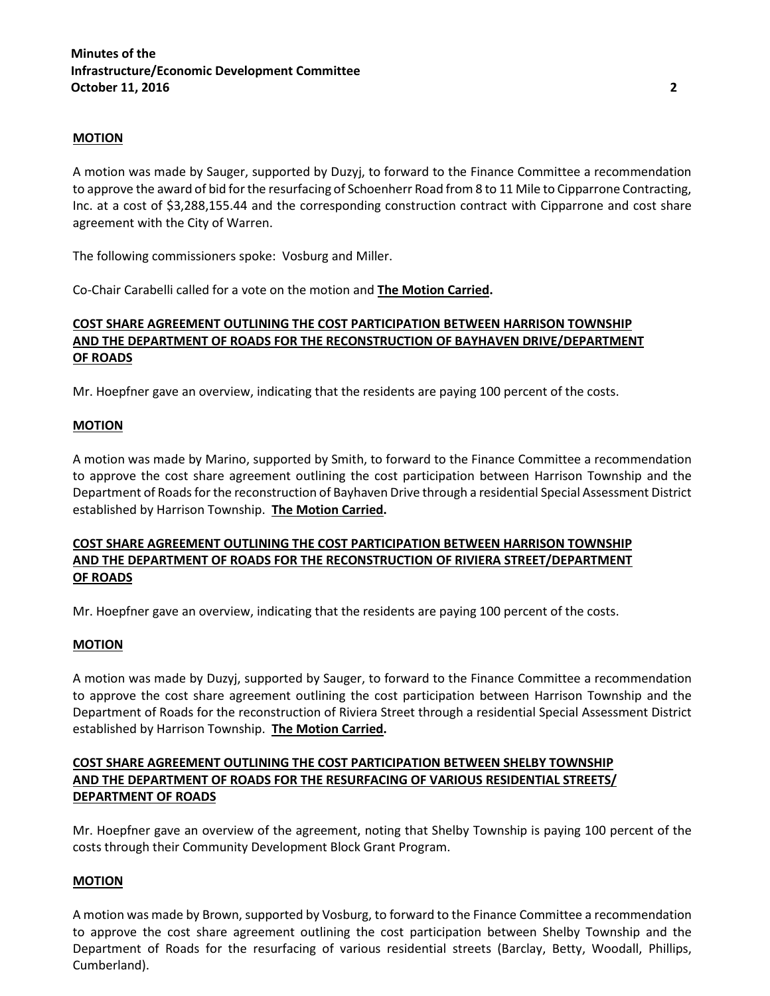### **MOTION**

A motion was made by Sauger, supported by Duzyj, to forward to the Finance Committee a recommendation to approve the award of bid for the resurfacing of Schoenherr Road from 8 to 11 Mile to Cipparrone Contracting, Inc. at a cost of \$3,288,155.44 and the corresponding construction contract with Cipparrone and cost share agreement with the City of Warren.

The following commissioners spoke: Vosburg and Miller.

Co-Chair Carabelli called for a vote on the motion and **The Motion Carried.**

# **COST SHARE AGREEMENT OUTLINING THE COST PARTICIPATION BETWEEN HARRISON TOWNSHIP AND THE DEPARTMENT OF ROADS FOR THE RECONSTRUCTION OF BAYHAVEN DRIVE/DEPARTMENT OF ROADS**

Mr. Hoepfner gave an overview, indicating that the residents are paying 100 percent of the costs.

## **MOTION**

A motion was made by Marino, supported by Smith, to forward to the Finance Committee a recommendation to approve the cost share agreement outlining the cost participation between Harrison Township and the Department of Roads for the reconstruction of Bayhaven Drive through a residential Special Assessment District established by Harrison Township. **The Motion Carried.**

# **COST SHARE AGREEMENT OUTLINING THE COST PARTICIPATION BETWEEN HARRISON TOWNSHIP AND THE DEPARTMENT OF ROADS FOR THE RECONSTRUCTION OF RIVIERA STREET/DEPARTMENT OF ROADS**

Mr. Hoepfner gave an overview, indicating that the residents are paying 100 percent of the costs.

### **MOTION**

A motion was made by Duzyj, supported by Sauger, to forward to the Finance Committee a recommendation to approve the cost share agreement outlining the cost participation between Harrison Township and the Department of Roads for the reconstruction of Riviera Street through a residential Special Assessment District established by Harrison Township. **The Motion Carried.**

# **COST SHARE AGREEMENT OUTLINING THE COST PARTICIPATION BETWEEN SHELBY TOWNSHIP AND THE DEPARTMENT OF ROADS FOR THE RESURFACING OF VARIOUS RESIDENTIAL STREETS/ DEPARTMENT OF ROADS**

Mr. Hoepfner gave an overview of the agreement, noting that Shelby Township is paying 100 percent of the costs through their Community Development Block Grant Program.

# **MOTION**

A motion was made by Brown, supported by Vosburg, to forward to the Finance Committee a recommendation to approve the cost share agreement outlining the cost participation between Shelby Township and the Department of Roads for the resurfacing of various residential streets (Barclay, Betty, Woodall, Phillips, Cumberland).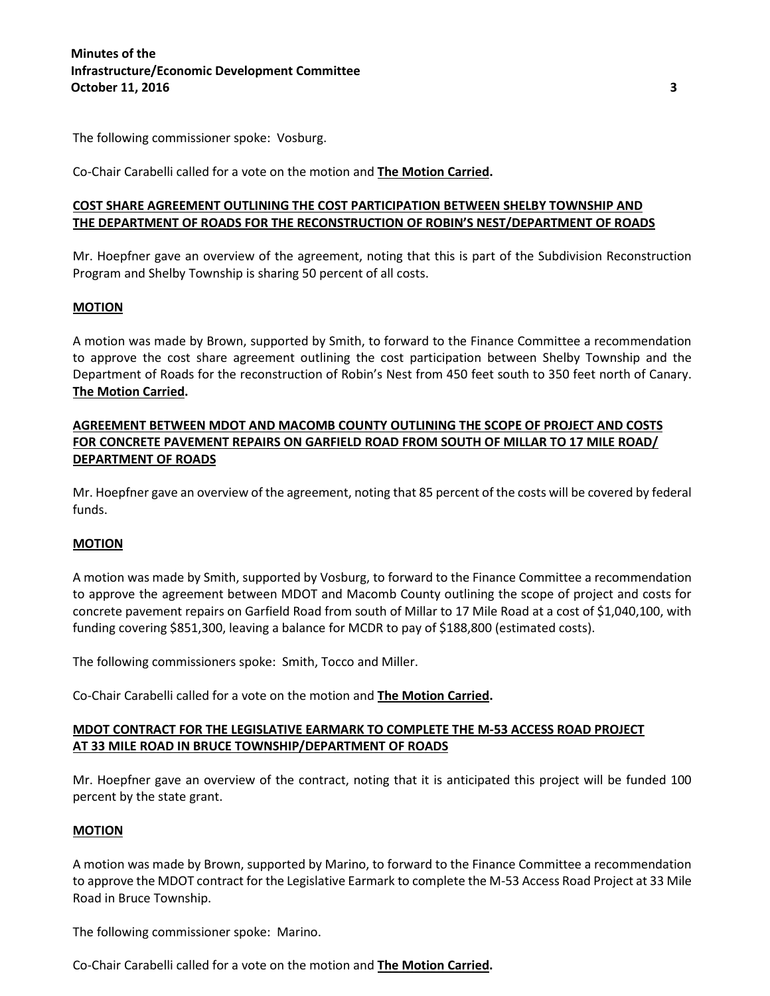The following commissioner spoke: Vosburg.

Co-Chair Carabelli called for a vote on the motion and **The Motion Carried.**

# **COST SHARE AGREEMENT OUTLINING THE COST PARTICIPATION BETWEEN SHELBY TOWNSHIP AND THE DEPARTMENT OF ROADS FOR THE RECONSTRUCTION OF ROBIN'S NEST/DEPARTMENT OF ROADS**

Mr. Hoepfner gave an overview of the agreement, noting that this is part of the Subdivision Reconstruction Program and Shelby Township is sharing 50 percent of all costs.

# **MOTION**

A motion was made by Brown, supported by Smith, to forward to the Finance Committee a recommendation to approve the cost share agreement outlining the cost participation between Shelby Township and the Department of Roads for the reconstruction of Robin's Nest from 450 feet south to 350 feet north of Canary. **The Motion Carried.**

# **AGREEMENT BETWEEN MDOT AND MACOMB COUNTY OUTLINING THE SCOPE OF PROJECT AND COSTS FOR CONCRETE PAVEMENT REPAIRS ON GARFIELD ROAD FROM SOUTH OF MILLAR TO 17 MILE ROAD/ DEPARTMENT OF ROADS**

Mr. Hoepfner gave an overview of the agreement, noting that 85 percent of the costs will be covered by federal funds.

# **MOTION**

A motion was made by Smith, supported by Vosburg, to forward to the Finance Committee a recommendation to approve the agreement between MDOT and Macomb County outlining the scope of project and costs for concrete pavement repairs on Garfield Road from south of Millar to 17 Mile Road at a cost of \$1,040,100, with funding covering \$851,300, leaving a balance for MCDR to pay of \$188,800 (estimated costs).

The following commissioners spoke: Smith, Tocco and Miller.

Co-Chair Carabelli called for a vote on the motion and **The Motion Carried.**

# **MDOT CONTRACT FOR THE LEGISLATIVE EARMARK TO COMPLETE THE M-53 ACCESS ROAD PROJECT AT 33 MILE ROAD IN BRUCE TOWNSHIP/DEPARTMENT OF ROADS**

Mr. Hoepfner gave an overview of the contract, noting that it is anticipated this project will be funded 100 percent by the state grant.

### **MOTION**

A motion was made by Brown, supported by Marino, to forward to the Finance Committee a recommendation to approve the MDOT contract for the Legislative Earmark to complete the M-53 Access Road Project at 33 Mile Road in Bruce Township.

The following commissioner spoke: Marino.

Co-Chair Carabelli called for a vote on the motion and **The Motion Carried.**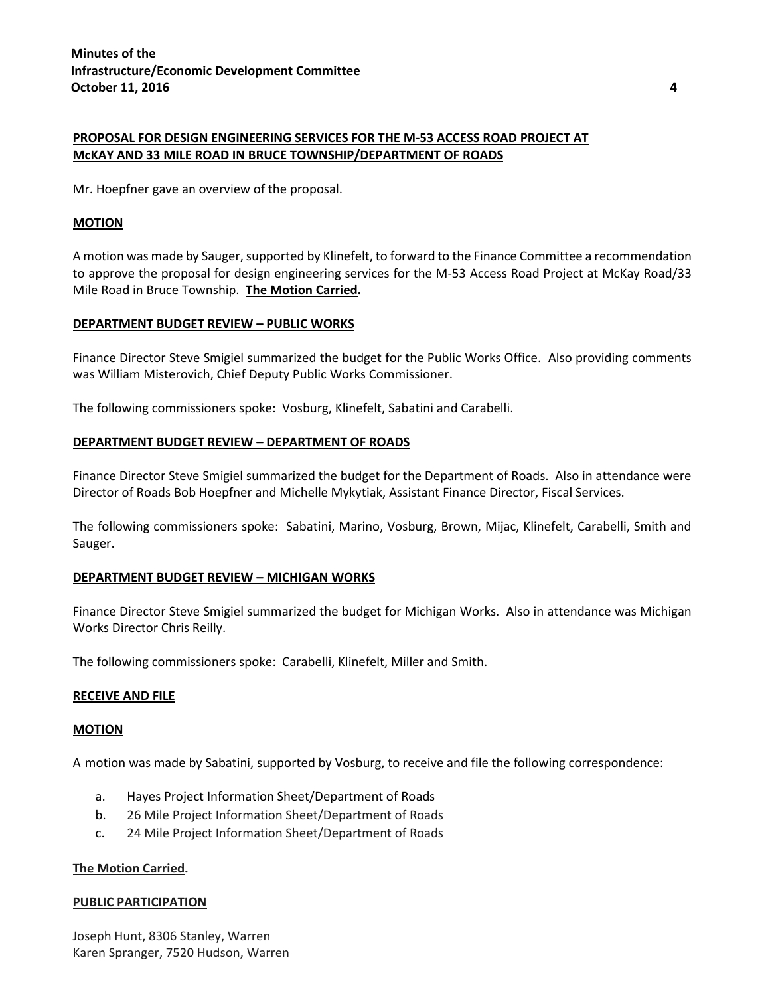# **PROPOSAL FOR DESIGN ENGINEERING SERVICES FOR THE M-53 ACCESS ROAD PROJECT AT McKAY AND 33 MILE ROAD IN BRUCE TOWNSHIP/DEPARTMENT OF ROADS**

Mr. Hoepfner gave an overview of the proposal.

### **MOTION**

A motion was made by Sauger, supported by Klinefelt, to forward to the Finance Committee a recommendation to approve the proposal for design engineering services for the M-53 Access Road Project at McKay Road/33 Mile Road in Bruce Township. **The Motion Carried.**

## **DEPARTMENT BUDGET REVIEW – PUBLIC WORKS**

Finance Director Steve Smigiel summarized the budget for the Public Works Office. Also providing comments was William Misterovich, Chief Deputy Public Works Commissioner.

The following commissioners spoke: Vosburg, Klinefelt, Sabatini and Carabelli.

## **DEPARTMENT BUDGET REVIEW – DEPARTMENT OF ROADS**

Finance Director Steve Smigiel summarized the budget for the Department of Roads. Also in attendance were Director of Roads Bob Hoepfner and Michelle Mykytiak, Assistant Finance Director, Fiscal Services.

The following commissioners spoke: Sabatini, Marino, Vosburg, Brown, Mijac, Klinefelt, Carabelli, Smith and Sauger.

### **DEPARTMENT BUDGET REVIEW – MICHIGAN WORKS**

Finance Director Steve Smigiel summarized the budget for Michigan Works. Also in attendance was Michigan Works Director Chris Reilly.

The following commissioners spoke: Carabelli, Klinefelt, Miller and Smith.

### **RECEIVE AND FILE**

### **MOTION**

A motion was made by Sabatini, supported by Vosburg, to receive and file the following correspondence:

- a. Hayes Project Information Sheet/Department of Roads
- b. 26 Mile Project Information Sheet/Department of Roads
- c. 24 Mile Project Information Sheet/Department of Roads

### **The Motion Carried.**

### **PUBLIC PARTICIPATION**

Joseph Hunt, 8306 Stanley, Warren Karen Spranger, 7520 Hudson, Warren